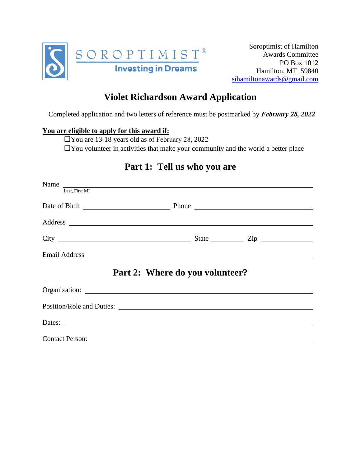

## **Violet Richardson Award Application**

Completed application and two letters of reference must be postmarked by *February 28, 2022*

## **You are eligible to apply for this award if:**

☐You are 13-18 years old as of February 28, 2022  $\Box$  You volunteer in activities that make your community and the world a better place

## **Part 1: Tell us who you are**

| Last, First MI  |                                                                                                                                                                                                                                |  |
|-----------------|--------------------------------------------------------------------------------------------------------------------------------------------------------------------------------------------------------------------------------|--|
|                 |                                                                                                                                                                                                                                |  |
|                 |                                                                                                                                                                                                                                |  |
|                 | Address and the contract of the contract of the contract of the contract of the contract of the contract of the contract of the contract of the contract of the contract of the contract of the contract of the contract of th |  |
|                 |                                                                                                                                                                                                                                |  |
|                 |                                                                                                                                                                                                                                |  |
|                 | Part 2: Where do you volunteer?                                                                                                                                                                                                |  |
|                 |                                                                                                                                                                                                                                |  |
|                 |                                                                                                                                                                                                                                |  |
|                 |                                                                                                                                                                                                                                |  |
| Contact Person: |                                                                                                                                                                                                                                |  |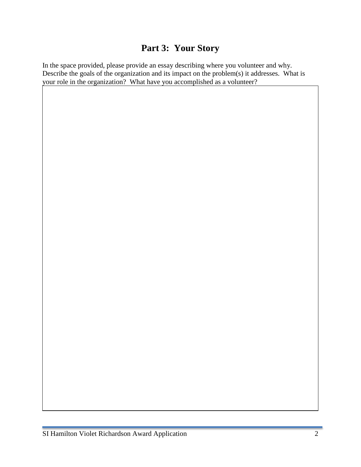## **Part 3: Your Story**

In the space provided, please provide an essay describing where you volunteer and why. Describe the goals of the organization and its impact on the problem(s) it addresses. What is your role in the organization? What have you accomplished as a volunteer?